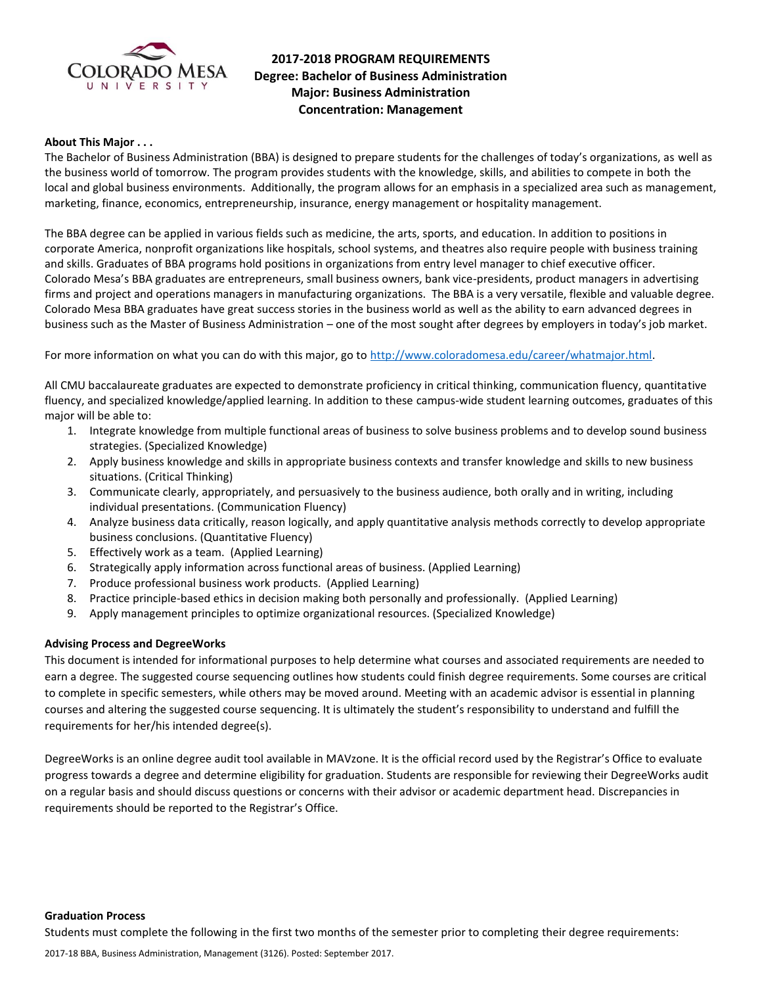

# **2017-2018 PROGRAM REQUIREMENTS Degree: Bachelor of Business Administration Major: Business Administration Concentration: Management**

### **About This Major . . .**

The Bachelor of Business Administration (BBA) is designed to prepare students for the challenges of today's organizations, as well as the business world of tomorrow. The program provides students with the knowledge, skills, and abilities to compete in both the local and global business environments. Additionally, the program allows for an emphasis in a specialized area such as management, marketing, finance, economics, entrepreneurship, insurance, energy management or hospitality management.

The BBA degree can be applied in various fields such as medicine, the arts, sports, and education. In addition to positions in corporate America, nonprofit organizations like hospitals, school systems, and theatres also require people with business training and skills. Graduates of BBA programs hold positions in organizations from entry level manager to chief executive officer. Colorado Mesa's BBA graduates are entrepreneurs, small business owners, bank vice-presidents, product managers in advertising firms and project and operations managers in manufacturing organizations. The BBA is a very versatile, flexible and valuable degree. Colorado Mesa BBA graduates have great success stories in the business world as well as the ability to earn advanced degrees in business such as the Master of Business Administration – one of the most sought after degrees by employers in today's job market.

For more information on what you can do with this major, go to [http://www.coloradomesa.edu/career/whatmajor.html.](http://www.coloradomesa.edu/career/whatmajor.html)

All CMU baccalaureate graduates are expected to demonstrate proficiency in critical thinking, communication fluency, quantitative fluency, and specialized knowledge/applied learning. In addition to these campus-wide student learning outcomes, graduates of this major will be able to:

- 1. Integrate knowledge from multiple functional areas of business to solve business problems and to develop sound business strategies. (Specialized Knowledge)
- 2. Apply business knowledge and skills in appropriate business contexts and transfer knowledge and skills to new business situations. (Critical Thinking)
- 3. Communicate clearly, appropriately, and persuasively to the business audience, both orally and in writing, including individual presentations. (Communication Fluency)
- 4. Analyze business data critically, reason logically, and apply quantitative analysis methods correctly to develop appropriate business conclusions. (Quantitative Fluency)
- 5. Effectively work as a team. (Applied Learning)
- 6. Strategically apply information across functional areas of business. (Applied Learning)
- 7. Produce professional business work products. (Applied Learning)
- 8. Practice principle-based ethics in decision making both personally and professionally. (Applied Learning)
- 9. Apply management principles to optimize organizational resources. (Specialized Knowledge)

### **Advising Process and DegreeWorks**

This document is intended for informational purposes to help determine what courses and associated requirements are needed to earn a degree. The suggested course sequencing outlines how students could finish degree requirements. Some courses are critical to complete in specific semesters, while others may be moved around. Meeting with an academic advisor is essential in planning courses and altering the suggested course sequencing. It is ultimately the student's responsibility to understand and fulfill the requirements for her/his intended degree(s).

DegreeWorks is an online degree audit tool available in MAVzone. It is the official record used by the Registrar's Office to evaluate progress towards a degree and determine eligibility for graduation. Students are responsible for reviewing their DegreeWorks audit on a regular basis and should discuss questions or concerns with their advisor or academic department head. Discrepancies in requirements should be reported to the Registrar's Office.

**Graduation Process**

Students must complete the following in the first two months of the semester prior to completing their degree requirements: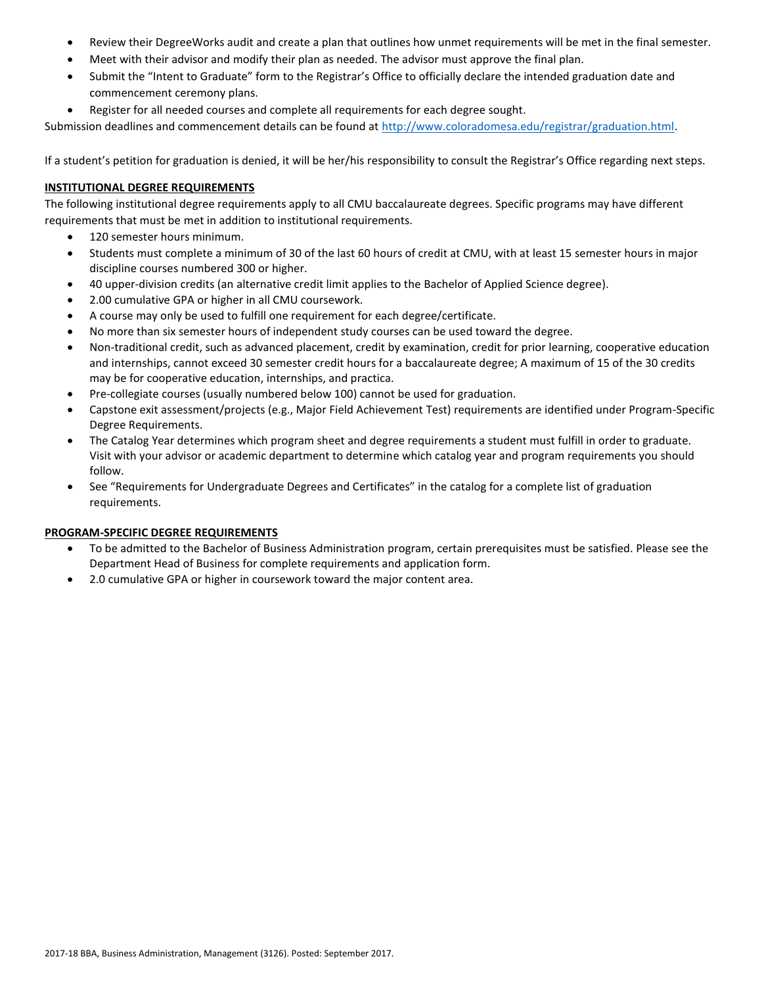- Review their DegreeWorks audit and create a plan that outlines how unmet requirements will be met in the final semester.
- Meet with their advisor and modify their plan as needed. The advisor must approve the final plan.
- Submit the "Intent to Graduate" form to the Registrar's Office to officially declare the intended graduation date and commencement ceremony plans.
- Register for all needed courses and complete all requirements for each degree sought.

Submission deadlines and commencement details can be found at [http://www.coloradomesa.edu/registrar/graduation.html.](http://www.coloradomesa.edu/registrar/graduation.html)

If a student's petition for graduation is denied, it will be her/his responsibility to consult the Registrar's Office regarding next steps.

# **INSTITUTIONAL DEGREE REQUIREMENTS**

The following institutional degree requirements apply to all CMU baccalaureate degrees. Specific programs may have different requirements that must be met in addition to institutional requirements.

- 120 semester hours minimum.
- Students must complete a minimum of 30 of the last 60 hours of credit at CMU, with at least 15 semester hours in major discipline courses numbered 300 or higher.
- 40 upper-division credits (an alternative credit limit applies to the Bachelor of Applied Science degree).
- 2.00 cumulative GPA or higher in all CMU coursework.
- A course may only be used to fulfill one requirement for each degree/certificate.
- No more than six semester hours of independent study courses can be used toward the degree.
- Non-traditional credit, such as advanced placement, credit by examination, credit for prior learning, cooperative education and internships, cannot exceed 30 semester credit hours for a baccalaureate degree; A maximum of 15 of the 30 credits may be for cooperative education, internships, and practica.
- Pre-collegiate courses (usually numbered below 100) cannot be used for graduation.
- Capstone exit assessment/projects (e.g., Major Field Achievement Test) requirements are identified under Program-Specific Degree Requirements.
- The Catalog Year determines which program sheet and degree requirements a student must fulfill in order to graduate. Visit with your advisor or academic department to determine which catalog year and program requirements you should follow.
- See "Requirements for Undergraduate Degrees and Certificates" in the catalog for a complete list of graduation requirements.

# **PROGRAM-SPECIFIC DEGREE REQUIREMENTS**

- To be admitted to the Bachelor of Business Administration program, certain prerequisites must be satisfied. Please see the Department Head of Business for complete requirements and application form.
- 2.0 cumulative GPA or higher in coursework toward the major content area.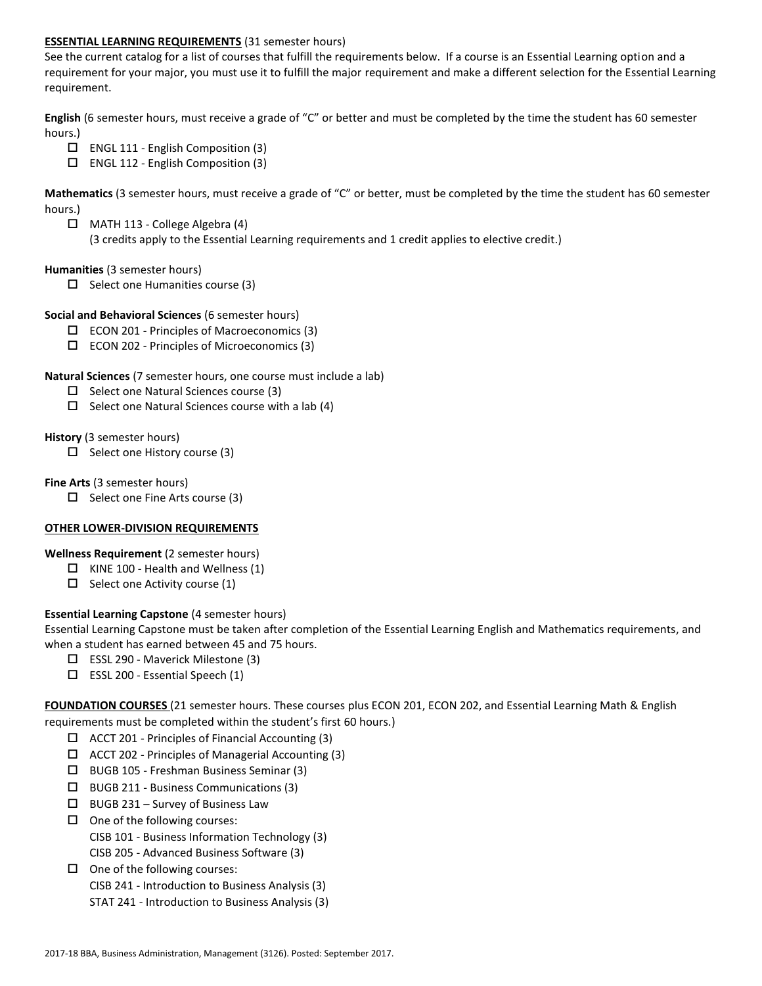### **ESSENTIAL LEARNING REQUIREMENTS** (31 semester hours)

See the current catalog for a list of courses that fulfill the requirements below. If a course is an Essential Learning option and a requirement for your major, you must use it to fulfill the major requirement and make a different selection for the Essential Learning requirement.

**English** (6 semester hours, must receive a grade of "C" or better and must be completed by the time the student has 60 semester hours.)

- $\Box$  ENGL 111 English Composition (3)
- $\Box$  ENGL 112 English Composition (3)

**Mathematics** (3 semester hours, must receive a grade of "C" or better, must be completed by the time the student has 60 semester hours.)

 MATH 113 - College Algebra (4) (3 credits apply to the Essential Learning requirements and 1 credit applies to elective credit.)

### **Humanities** (3 semester hours)

 $\Box$  Select one Humanities course (3)

### **Social and Behavioral Sciences** (6 semester hours)

- $\square$  ECON 201 Principles of Macroeconomics (3)
- ECON 202 Principles of Microeconomics (3)

### **Natural Sciences** (7 semester hours, one course must include a lab)

- $\Box$  Select one Natural Sciences course (3)
- $\Box$  Select one Natural Sciences course with a lab (4)

### **History** (3 semester hours)

 $\Box$  Select one History course (3)

### **Fine Arts** (3 semester hours)

 $\Box$  Select one Fine Arts course (3)

# **OTHER LOWER-DIVISION REQUIREMENTS**

# **Wellness Requirement** (2 semester hours)

- $\Box$  KINE 100 Health and Wellness (1)
- $\Box$  Select one Activity course (1)

# **Essential Learning Capstone** (4 semester hours)

Essential Learning Capstone must be taken after completion of the Essential Learning English and Mathematics requirements, and when a student has earned between 45 and 75 hours.

- $\Box$  ESSL 290 Maverick Milestone (3)
- $\square$  ESSL 200 Essential Speech (1)

**FOUNDATION COURSES** (21 semester hours. These courses plus ECON 201, ECON 202, and Essential Learning Math & English requirements must be completed within the student's first 60 hours.)

- $\Box$  ACCT 201 Principles of Financial Accounting (3)
- $\Box$  ACCT 202 Principles of Managerial Accounting (3)
- BUGB 105 Freshman Business Seminar (3)
- BUGB 211 Business Communications (3)
- $\Box$  BUGB 231 Survey of Business Law
- $\Box$  One of the following courses: CISB 101 - Business Information Technology (3) CISB 205 - Advanced Business Software (3)
- $\Box$  One of the following courses:
	- CISB 241 Introduction to Business Analysis (3)
	- STAT 241 Introduction to Business Analysis (3)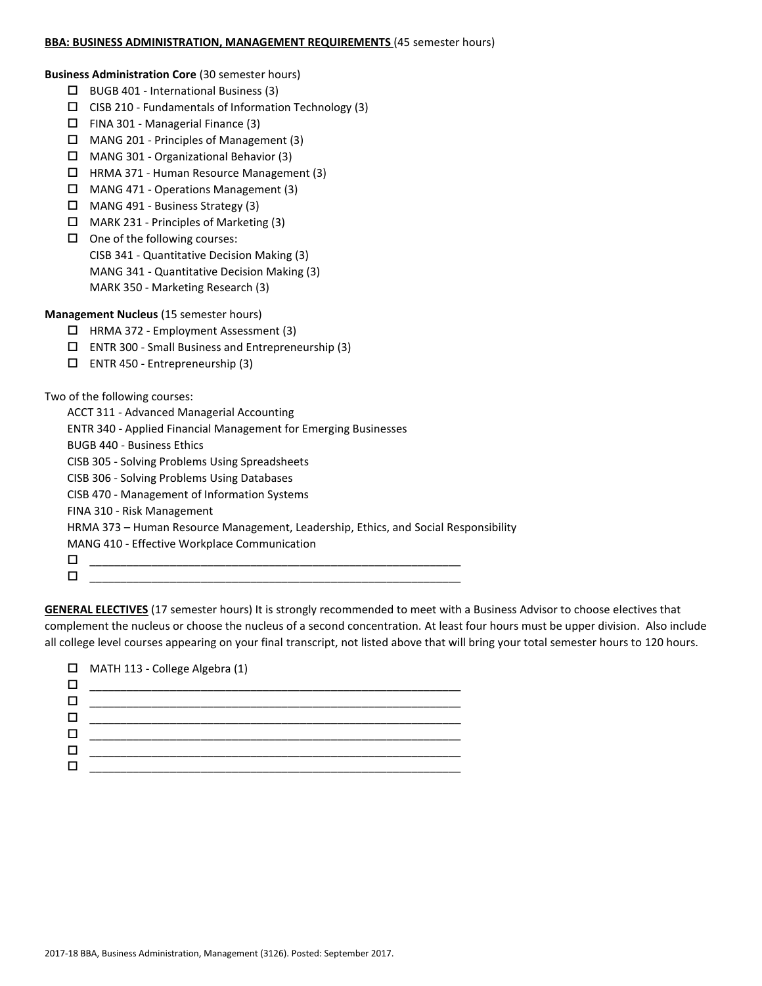### **BBA: BUSINESS ADMINISTRATION, MANAGEMENT REQUIREMENTS** (45 semester hours)

**Business Administration Core** (30 semester hours)

- BUGB 401 International Business (3)
- $\Box$  CISB 210 Fundamentals of Information Technology (3)
- FINA 301 Managerial Finance (3)
- $\Box$  MANG 201 Principles of Management (3)
- MANG 301 Organizational Behavior (3)
- $\Box$  HRMA 371 Human Resource Management (3)
- MANG 471 Operations Management (3)
- MANG 491 Business Strategy (3)
- $\Box$  MARK 231 Principles of Marketing (3)
- $\Box$  One of the following courses:

CISB 341 - Quantitative Decision Making (3)

- MANG 341 Quantitative Decision Making (3)
- MARK 350 Marketing Research (3)

# **Management Nucleus** (15 semester hours)

- HRMA 372 Employment Assessment (3)
- ENTR 300 Small Business and Entrepreneurship (3)
- ENTR 450 Entrepreneurship (3)

Two of the following courses:

ACCT 311 - Advanced Managerial Accounting

ENTR 340 - Applied Financial Management for Emerging Businesses

BUGB 440 - Business Ethics

CISB 305 - Solving Problems Using Spreadsheets

- CISB 306 Solving Problems Using Databases
- CISB 470 Management of Information Systems

FINA 310 - Risk Management

HRMA 373 – Human Resource Management, Leadership, Ethics, and Social Responsibility

MANG 410 - Effective Workplace Communication

 \_\_\_\_\_\_\_\_\_\_\_\_\_\_\_\_\_\_\_\_\_\_\_\_\_\_\_\_\_\_\_\_\_\_\_\_\_\_\_\_\_\_\_\_\_\_\_\_\_\_\_\_\_\_\_\_\_\_\_\_ \_\_\_\_\_\_\_\_\_\_\_\_\_\_\_\_\_\_\_\_\_\_\_\_\_\_\_\_\_\_\_\_\_\_\_\_\_\_\_\_\_\_\_\_\_\_\_\_\_\_\_\_\_\_\_\_\_\_\_\_

**GENERAL ELECTIVES** (17 semester hours) It is strongly recommended to meet with a Business Advisor to choose electives that complement the nucleus or choose the nucleus of a second concentration. At least four hours must be upper division. Also include all college level courses appearing on your final transcript, not listed above that will bring your total semester hours to 120 hours.